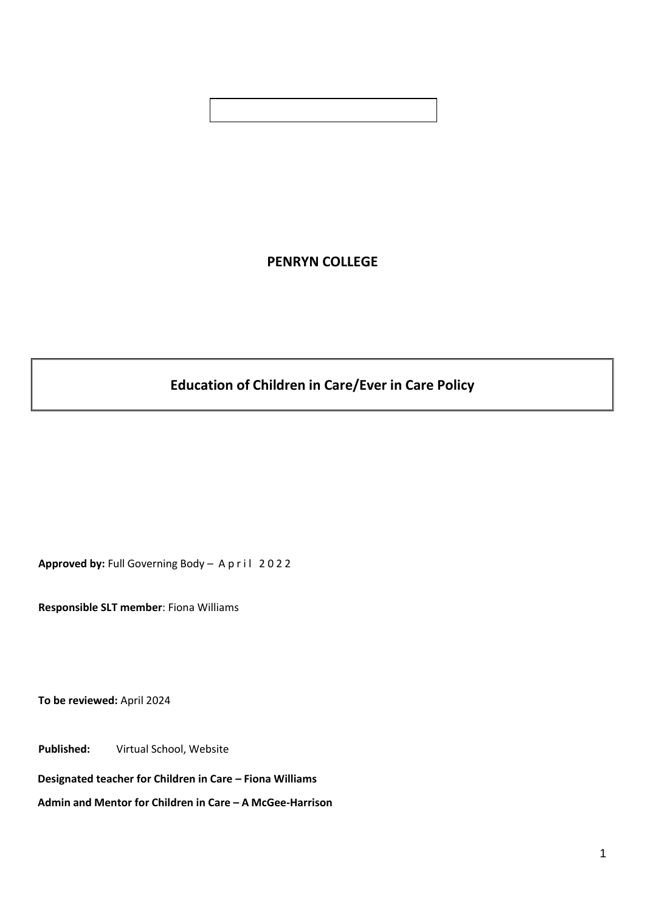# **PENRYN COLLEGE**

# **Education of Children in Care/Ever in Care Policy**

Approved by: Full Governing Body - A p r i l 2022

**Responsible SLT member**: Fiona Williams

**To be reviewed:** April 2024

**Published:** Virtual School, Website

**Designated teacher for Children in Care – Fiona Williams** 

**Admin and Mentor for Children in Care – A McGee-Harrison**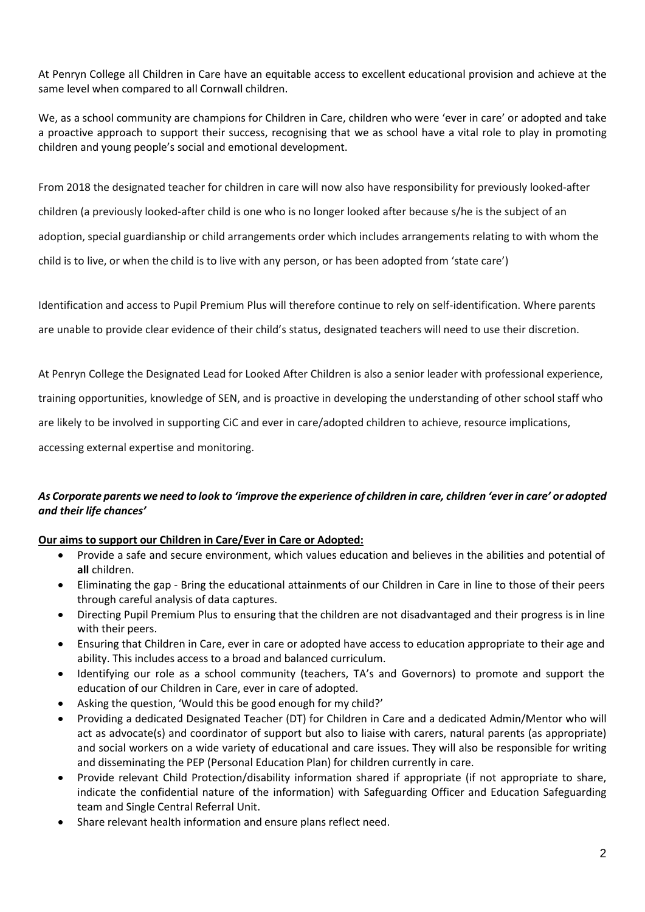At Penryn College all Children in Care have an equitable access to excellent educational provision and achieve at the same level when compared to all Cornwall children.

We, as a school community are champions for Children in Care, children who were 'ever in care' or adopted and take a proactive approach to support their success, recognising that we as school have a vital role to play in promoting children and young people's social and emotional development.

From 2018 the designated teacher for children in care will now also have responsibility for previously looked-after children (a previously looked-after child is one who is no longer looked after because s/he is the subject of an adoption, special guardianship or child arrangements order which includes arrangements relating to with whom the child is to live, or when the child is to live with any person, or has been adopted from 'state care')

Identification and access to Pupil Premium Plus will therefore continue to rely on self-identification. Where parents are unable to provide clear evidence of their child's status, designated teachers will need to use their discretion.

At Penryn College the Designated Lead for Looked After Children is also a senior leader with professional experience,

training opportunities, knowledge of SEN, and is proactive in developing the understanding of other school staff who

are likely to be involved in supporting CiC and ever in care/adopted children to achieve, resource implications,

accessing external expertise and monitoring.

#### As Corporate parents we need to look to 'improve the experience of children in care, children 'ever in care' or adopted *and their life chances'*

#### **Our aims to support our Children in Care/Ever in Care or Adopted:**

- Provide a safe and secure environment, which values education and believes in the abilities and potential of **all** children.
- Eliminating the gap Bring the educational attainments of our Children in Care in line to those of their peers through careful analysis of data captures.
- Directing Pupil Premium Plus to ensuring that the children are not disadvantaged and their progress is in line with their peers.
- Ensuring that Children in Care, ever in care or adopted have access to education appropriate to their age and ability. This includes access to a broad and balanced curriculum.
- Identifying our role as a school community (teachers, TA's and Governors) to promote and support the education of our Children in Care, ever in care of adopted.
- Asking the question, 'Would this be good enough for my child?'
- Providing a dedicated Designated Teacher (DT) for Children in Care and a dedicated Admin/Mentor who will act as advocate(s) and coordinator of support but also to liaise with carers, natural parents (as appropriate) and social workers on a wide variety of educational and care issues. They will also be responsible for writing and disseminating the PEP (Personal Education Plan) for children currently in care.
- Provide relevant Child Protection/disability information shared if appropriate (if not appropriate to share, indicate the confidential nature of the information) with Safeguarding Officer and Education Safeguarding team and Single Central Referral Unit.
- Share relevant health information and ensure plans reflect need.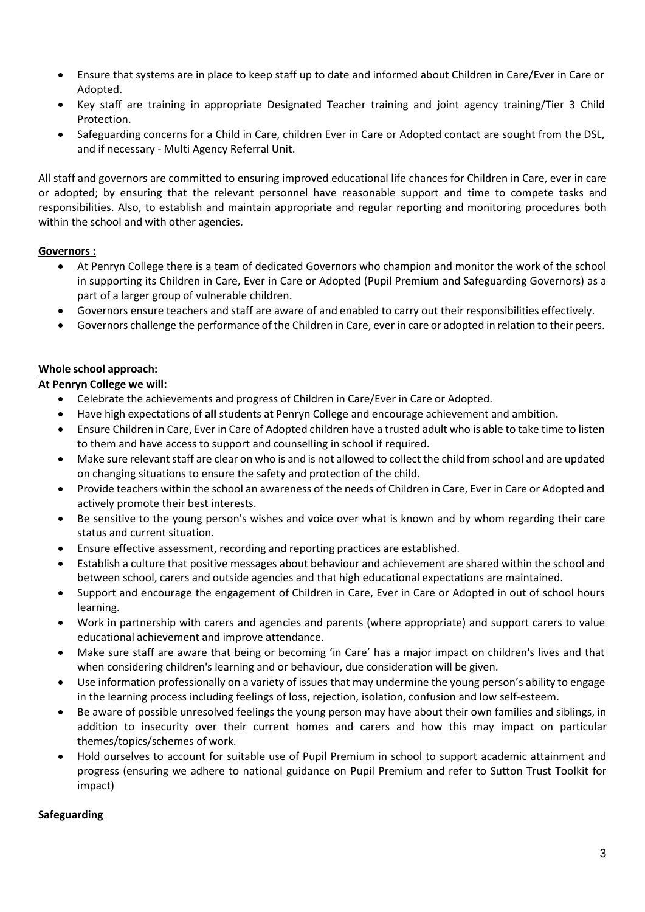- Ensure that systems are in place to keep staff up to date and informed about Children in Care/Ever in Care or Adopted.
- Key staff are training in appropriate Designated Teacher training and joint agency training/Tier 3 Child Protection.
- Safeguarding concerns for a Child in Care, children Ever in Care or Adopted contact are sought from the DSL, and if necessary - Multi Agency Referral Unit.

All staff and governors are committed to ensuring improved educational life chances for Children in Care, ever in care or adopted; by ensuring that the relevant personnel have reasonable support and time to compete tasks and responsibilities. Also, to establish and maintain appropriate and regular reporting and monitoring procedures both within the school and with other agencies.

#### **Governors :**

- At Penryn College there is a team of dedicated Governors who champion and monitor the work of the school in supporting its Children in Care, Ever in Care or Adopted (Pupil Premium and Safeguarding Governors) as a part of a larger group of vulnerable children.
- Governors ensure teachers and staff are aware of and enabled to carry out their responsibilities effectively.
- Governors challenge the performance of the Children in Care, ever in care or adopted in relation to their peers.

#### **Whole school approach:**

#### **At Penryn College we will:**

- Celebrate the achievements and progress of Children in Care/Ever in Care or Adopted.
- Have high expectations of **all** students at Penryn College and encourage achievement and ambition.
- Ensure Children in Care, Ever in Care of Adopted children have a trusted adult who is able to take time to listen to them and have access to support and counselling in school if required.
- Make sure relevant staff are clear on who is and is not allowed to collect the child from school and are updated on changing situations to ensure the safety and protection of the child.
- Provide teachers within the school an awareness of the needs of Children in Care, Ever in Care or Adopted and actively promote their best interests.
- Be sensitive to the young person's wishes and voice over what is known and by whom regarding their care status and current situation.
- Ensure effective assessment, recording and reporting practices are established.
- Establish a culture that positive messages about behaviour and achievement are shared within the school and between school, carers and outside agencies and that high educational expectations are maintained.
- Support and encourage the engagement of Children in Care, Ever in Care or Adopted in out of school hours learning.
- Work in partnership with carers and agencies and parents (where appropriate) and support carers to value educational achievement and improve attendance.
- Make sure staff are aware that being or becoming 'in Care' has a major impact on children's lives and that when considering children's learning and or behaviour, due consideration will be given.
- Use information professionally on a variety of issues that may undermine the young person's ability to engage in the learning process including feelings of loss, rejection, isolation, confusion and low self-esteem.
- Be aware of possible unresolved feelings the young person may have about their own families and siblings, in addition to insecurity over their current homes and carers and how this may impact on particular themes/topics/schemes of work.
- Hold ourselves to account for suitable use of Pupil Premium in school to support academic attainment and progress (ensuring we adhere to national guidance on Pupil Premium and refer to Sutton Trust Toolkit for impact)

#### **Safeguarding**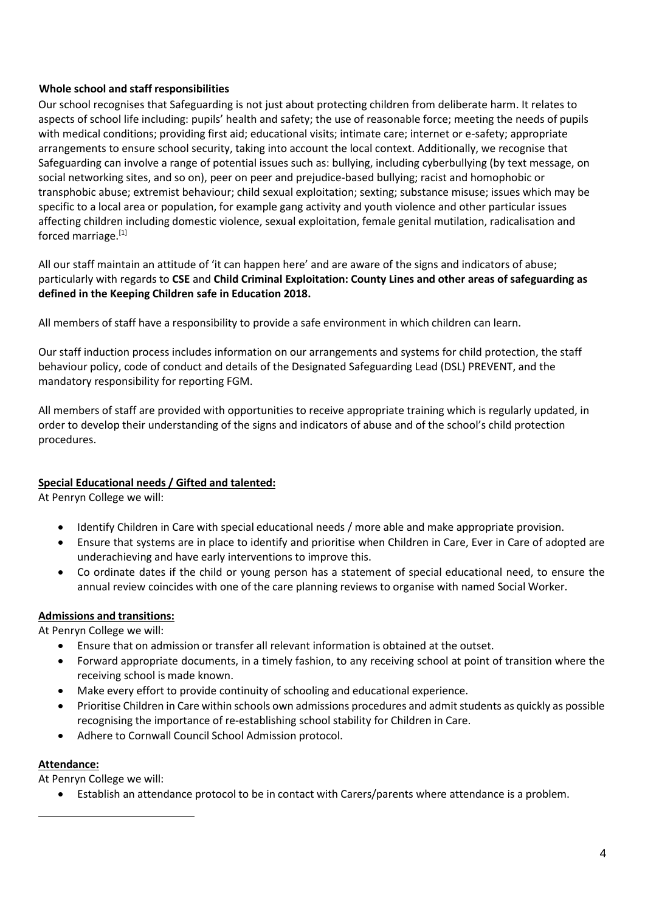#### **Whole school and staff responsibilities**

Our school recognises that Safeguarding is not just about protecting children from deliberate harm. It relates to aspects of school life including: pupils' health and safety; the use of reasonable force; meeting the needs of pupils with medical conditions; providing first aid; educational visits; intimate care; internet or e-safety; appropriate arrangements to ensure school security, taking into account the local context. Additionally, we recognise that Safeguarding can involve a range of potential issues such as: bullying, including cyberbullying (by text message, on social networking sites, and so on), peer on peer and prejudice-based bullying; racist and homophobic or transphobic abuse; extremist behaviour; child sexual exploitation; sexting; substance misuse; issues which may be specific to a local area or population, for example gang activity and youth violence and other particular issues affecting children including domestic violence, sexual exploitation, female genital mutilation, radicalisation and forced marriage.<sup>[1]</sup>

All our staff maintain an attitude of 'it can happen here' and are aware of the signs and indicators of abuse; particularly with regards to **CSE** and **Child Criminal Exploitation: County Lines and other areas of safeguarding as defined in the Keeping Children safe in Education 2018.**

All members of staff have a responsibility to provide a safe environment in which children can learn.

Our staff induction process includes information on our arrangements and systems for child protection, the staff behaviour policy, code of conduct and details of the Designated Safeguarding Lead (DSL) PREVENT, and the mandatory responsibility for reporting FGM.

All members of staff are provided with opportunities to receive appropriate training which is regularly updated, in order to develop their understanding of the signs and indicators of abuse and of the school's child protection procedures.

#### **Special Educational needs / Gifted and talented:**

At Penryn College we will:

- Identify Children in Care with special educational needs / more able and make appropriate provision.
- Ensure that systems are in place to identify and prioritise when Children in Care, Ever in Care of adopted are underachieving and have early interventions to improve this.
- Co ordinate dates if the child or young person has a statement of special educational need, to ensure the annual review coincides with one of the care planning reviews to organise with named Social Worker.

# **Admissions and transitions:**

At Penryn College we will:

- Ensure that on admission or transfer all relevant information is obtained at the outset.
- Forward appropriate documents, in a timely fashion, to any receiving school at point of transition where the receiving school is made known.
- Make every effort to provide continuity of schooling and educational experience.
- Prioritise Children in Care within schools own admissions procedures and admitstudents as quickly as possible recognising the importance of re-establishing school stability for Children in Care.
- Adhere to Cornwall Council School Admission protocol.

#### **Attendance:**

At Penryn College we will:

• Establish an attendance protocol to be in contact with Carers/parents where attendance is a problem.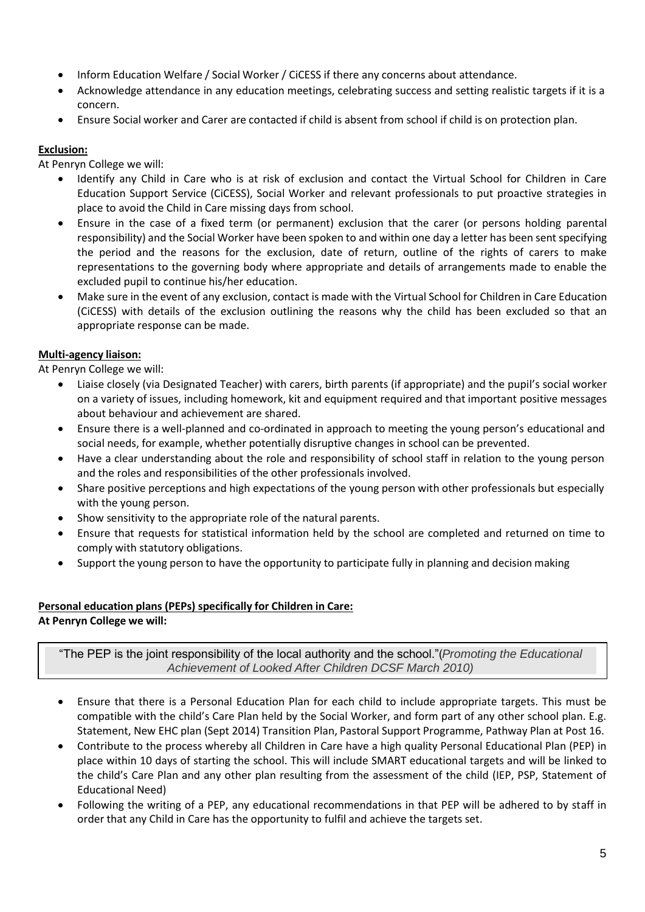- Inform Education Welfare / Social Worker / CiCESS if there any concerns about attendance.
- Acknowledge attendance in any education meetings, celebrating success and setting realistic targets if it is a concern.
- Ensure Social worker and Carer are contacted if child is absent from school if child is on protection plan.

# **Exclusion:**

At Penryn College we will:

- Identify any Child in Care who is at risk of exclusion and contact the Virtual School for Children in Care Education Support Service (CiCESS), Social Worker and relevant professionals to put proactive strategies in place to avoid the Child in Care missing days from school.
- Ensure in the case of a fixed term (or permanent) exclusion that the carer (or persons holding parental responsibility) and the Social Worker have been spoken to and within one day a letter has been sent specifying the period and the reasons for the exclusion, date of return, outline of the rights of carers to make representations to the governing body where appropriate and details of arrangements made to enable the excluded pupil to continue his/her education.
- Make sure in the event of any exclusion, contact is made with the Virtual School for Children in Care Education (CiCESS) with details of the exclusion outlining the reasons why the child has been excluded so that an appropriate response can be made.

# **Multi-agency liaison:**

At Penryn College we will:

- Liaise closely (via Designated Teacher) with carers, birth parents (if appropriate) and the pupil's social worker on a variety of issues, including homework, kit and equipment required and that important positive messages about behaviour and achievement are shared.
- Ensure there is a well-planned and co-ordinated in approach to meeting the young person's educational and social needs, for example, whether potentially disruptive changes in school can be prevented.
- Have a clear understanding about the role and responsibility of school staff in relation to the young person and the roles and responsibilities of the other professionals involved.
- Share positive perceptions and high expectations of the young person with other professionals but especially with the young person.
- Show sensitivity to the appropriate role of the natural parents.
- Ensure that requests for statistical information held by the school are completed and returned on time to comply with statutory obligations.
- Support the young person to have the opportunity to participate fully in planning and decision making

# **Personal education plans (PEPs) specifically for Children in Care:**

**At Penryn College we will:**

"The PEP is the joint responsibility of the local authority and the school."(*Promoting the Educational Achievement of Looked After Children DCSF March 2010)*

- Ensure that there is a Personal Education Plan for each child to include appropriate targets. This must be compatible with the child's Care Plan held by the Social Worker, and form part of any other school plan. E.g. Statement, New EHC plan (Sept 2014) Transition Plan, Pastoral Support Programme, Pathway Plan at Post 16.
- Contribute to the process whereby all Children in Care have a high quality Personal Educational Plan (PEP) in place within 10 days of starting the school. This will include SMART educational targets and will be linked to the child's Care Plan and any other plan resulting from the assessment of the child (IEP, PSP, Statement of Educational Need)
- Following the writing of a PEP, any educational recommendations in that PEP will be adhered to by staff in order that any Child in Care has the opportunity to fulfil and achieve the targets set.